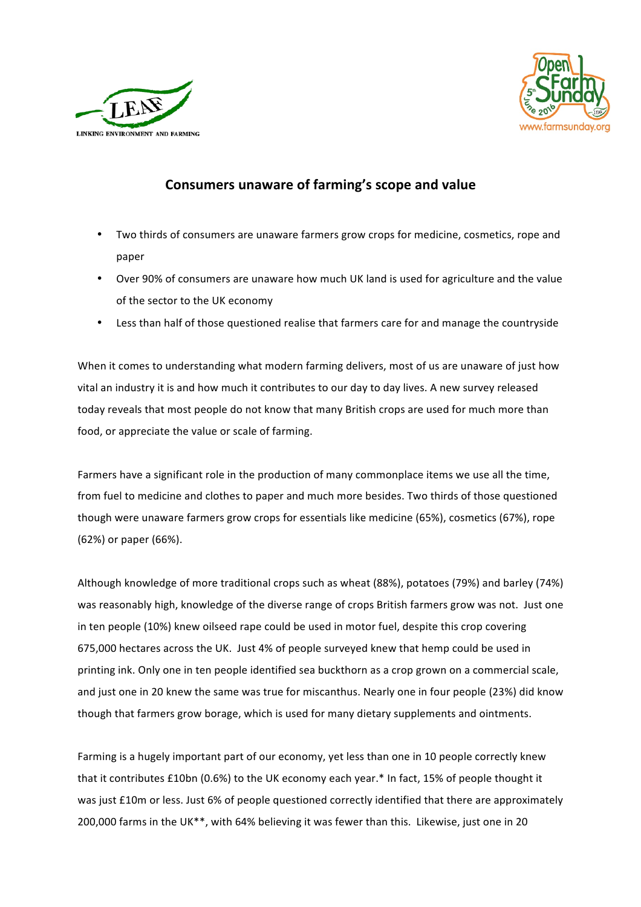



## **Consumers unaware of farming's scope and value**

- Two thirds of consumers are unaware farmers grow crops for medicine, cosmetics, rope and paper
- Over 90% of consumers are unaware how much UK land is used for agriculture and the value of the sector to the UK economy
- Less than half of those questioned realise that farmers care for and manage the countryside

When it comes to understanding what modern farming delivers, most of us are unaware of just how vital an industry it is and how much it contributes to our day to day lives. A new survey released today reveals that most people do not know that many British crops are used for much more than food, or appreciate the value or scale of farming.

Farmers have a significant role in the production of many commonplace items we use all the time, from fuel to medicine and clothes to paper and much more besides. Two thirds of those questioned though were unaware farmers grow crops for essentials like medicine (65%), cosmetics (67%), rope (62%) or paper (66%).

Although knowledge of more traditional crops such as wheat (88%), potatoes (79%) and barley (74%) was reasonably high, knowledge of the diverse range of crops British farmers grow was not. Just one in ten people (10%) knew oilseed rape could be used in motor fuel, despite this crop covering 675,000 hectares across the UK. Just 4% of people surveyed knew that hemp could be used in printing ink. Only one in ten people identified sea buckthorn as a crop grown on a commercial scale, and just one in 20 knew the same was true for miscanthus. Nearly one in four people (23%) did know though that farmers grow borage, which is used for many dietary supplements and ointments.

Farming is a hugely important part of our economy, yet less than one in 10 people correctly knew that it contributes £10bn (0.6%) to the UK economy each year.\* In fact, 15% of people thought it was just £10m or less. Just 6% of people questioned correctly identified that there are approximately 200,000 farms in the UK\*\*, with 64% believing it was fewer than this. Likewise, just one in 20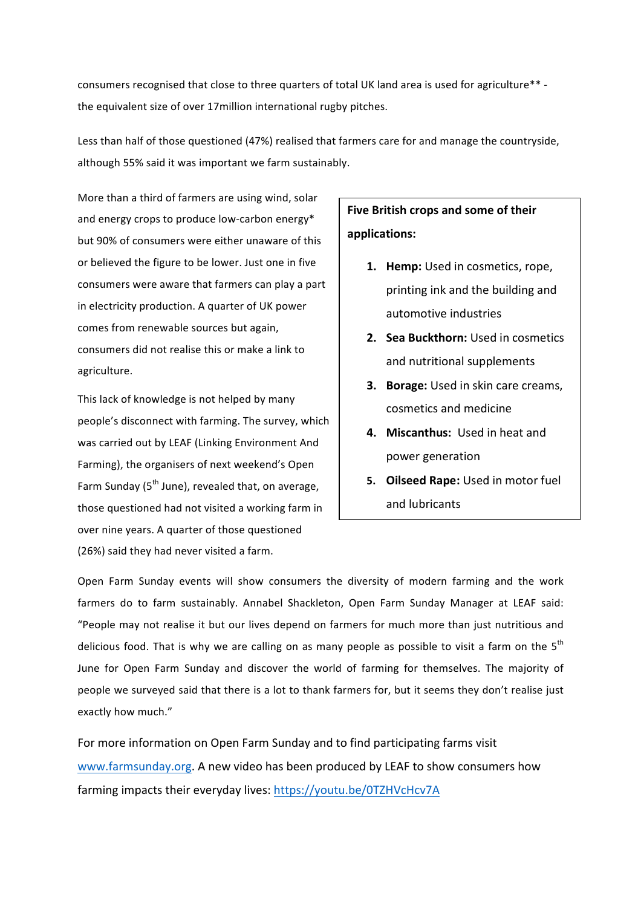consumers recognised that close to three quarters of total UK land area is used for agriculture\*\* the equivalent size of over 17million international rugby pitches.

Less than half of those questioned (47%) realised that farmers care for and manage the countryside, although 55% said it was important we farm sustainably.

More than a third of farmers are using wind, solar and energy crops to produce low-carbon energy\* but 90% of consumers were either unaware of this or believed the figure to be lower. Just one in five consumers were aware that farmers can play a part in electricity production. A quarter of UK power comes from renewable sources but again, consumers did not realise this or make a link to agriculture. 

This lack of knowledge is not helped by many people's disconnect with farming. The survey, which was carried out by LEAF (Linking Environment And Farming), the organisers of next weekend's Open Farm Sunday ( $5<sup>th</sup>$  June), revealed that, on average, those questioned had not visited a working farm in over nine years. A quarter of those questioned (26%) said they had never visited a farm.

## **Five British crops and some of their applications:**

- 1. **Hemp:** Used in cosmetics, rope, printing ink and the building and automotive industries
- **2. Sea Buckthorn:** Used in cosmetics and nutritional supplements
- **3. Borage:** Used in skin care creams, cosmetics and medicine
- **4. Miscanthus: Used in heat and** power generation
- **5.** Oilseed Rape: Used in motor fuel and lubricants

Open Farm Sunday events will show consumers the diversity of modern farming and the work farmers do to farm sustainably. Annabel Shackleton, Open Farm Sunday Manager at LEAF said: "People may not realise it but our lives depend on farmers for much more than just nutritious and delicious food. That is why we are calling on as many people as possible to visit a farm on the  $5<sup>th</sup>$ June for Open Farm Sunday and discover the world of farming for themselves. The majority of people we surveyed said that there is a lot to thank farmers for, but it seems they don't realise just exactly how much."

For more information on Open Farm Sunday and to find participating farms visit www.farmsunday.org. A new video has been produced by LEAF to show consumers how farming impacts their everyday lives: https://youtu.be/0TZHVcHcv7A